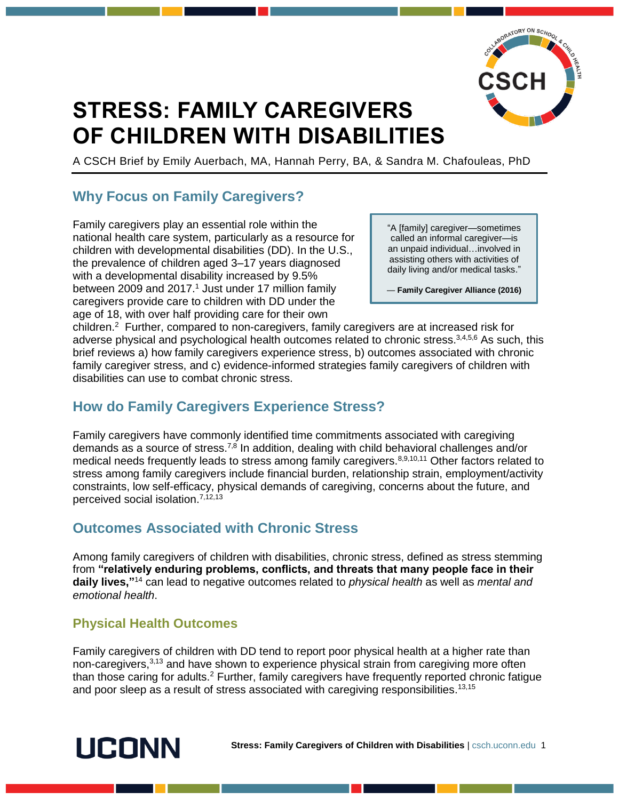

# **STRESS: FAMILY CAREGIVERS OF CHILDREN WITH DISABILITIES**

A CSCH Brief by Emily Auerbach, MA, Hannah Perry, BA, & Sandra M. Chafouleas, PhD

## **Why Focus on Family Caregivers?**

Family caregivers play an essential role within the national health care system, particularly as a resource for children with developmental disabilities (DD). In the U.S., the prevalence of children aged 3–17 years diagnosed with a developmental disability increased by 9.5% between 2009 and 2017.<sup>1</sup> Just under 17 million family caregivers provide care to children with DD under the age of 18, with over half providing care for their own

"A [family] caregiver—sometimes called an informal caregiver—is an unpaid individual…involved in assisting others with activities of daily living and/or medical tasks."

— **Family Caregiver Alliance (2016)**

children.<sup>2</sup> Further, compared to non-caregivers, family caregivers are at increased risk for adverse physical and psychological health outcomes related to chronic stress.<sup>3,4,5,6</sup> As such, this brief reviews a) how family caregivers experience stress, b) outcomes associated with chronic family caregiver stress, and c) evidence-informed strategies family caregivers of children with disabilities can use to combat chronic stress.

## **How do Family Caregivers Experience Stress?**

Family caregivers have commonly identified time commitments associated with caregiving demands as a source of stress.<sup>7,8</sup> In addition, dealing with child behavioral challenges and/or medical needs frequently leads to stress among family caregivers.<sup>8,9,10,11</sup> Other factors related to stress among family caregivers include financial burden, relationship strain, employment/activity constraints, low self-efficacy, physical demands of caregiving, concerns about the future, and perceived social isolation.<sup>7,12,13</sup>

## **Outcomes Associated with Chronic Stress**

Among family caregivers of children with disabilities, chronic stress, defined as stress stemming from **"relatively enduring problems, conflicts, and threats that many people face in their daily lives,"** <sup>14</sup> can lead to negative outcomes related to *physical health* as well as *mental and emotional health*.

### **Physical Health Outcomes**

Family caregivers of children with DD tend to report poor physical health at a higher rate than non-caregivers,<sup>3,13</sup> and have shown to experience physical strain from caregiving more often than those caring for adults.<sup>2</sup> Further, family caregivers have frequently reported chronic fatigue and poor sleep as a result of stress associated with caregiving responsibilities. 13,15



**Stress: Family Caregivers of Children with Disabilities** | csch.uconn.edu 1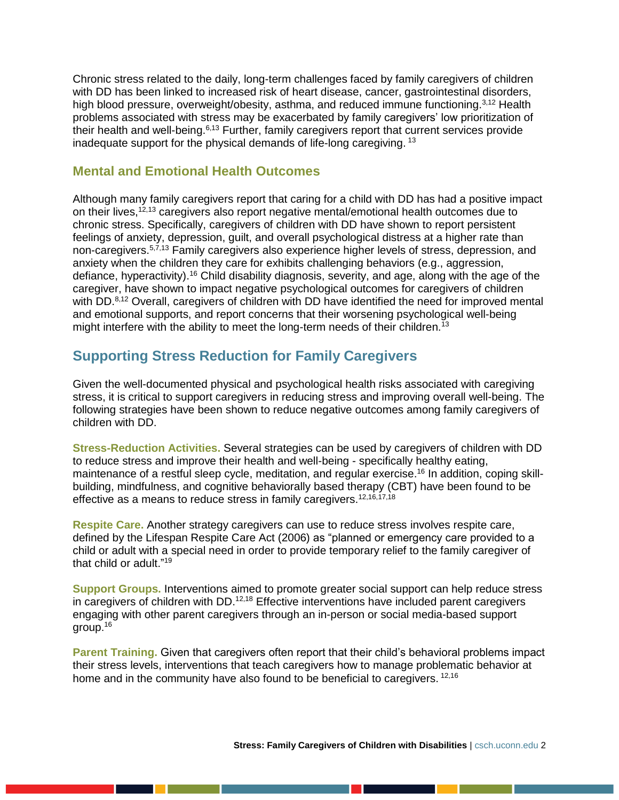Chronic stress related to the daily, long-term challenges faced by family caregivers of children with DD has been linked to increased risk of heart disease, cancer, gastrointestinal disorders, high blood pressure, overweight/obesity, asthma, and reduced immune functioning.<sup>3,12</sup> Health problems associated with stress may be exacerbated by family caregivers' low prioritization of their health and well-being.<sup>6,13</sup> Further, family caregivers report that current services provide inadequate support for the physical demands of life-long caregiving. <sup>13</sup>

#### **Mental and Emotional Health Outcomes**

Although many family caregivers report that caring for a child with DD has had a positive impact on their lives,<sup>12,13</sup> caregivers also report negative mental/emotional health outcomes due to chronic stress. Specifically, caregivers of children with DD have shown to report persistent feelings of anxiety, depression, guilt, and overall psychological distress at a higher rate than non-caregivers.<sup>5,7,13</sup> Family caregivers also experience higher levels of stress, depression, and anxiety when the children they care for exhibits challenging behaviors (e.g., aggression, defiance, hyperactivity).<sup>16</sup> Child disability diagnosis, severity, and age, along with the age of the caregiver, have shown to impact negative psychological outcomes for caregivers of children with DD.<sup>8,12</sup> Overall, caregivers of children with DD have identified the need for improved mental and emotional supports, and report concerns that their worsening psychological well-being might interfere with the ability to meet the long-term needs of their children.<sup>13</sup>

## **Supporting Stress Reduction for Family Caregivers**

Given the well-documented physical and psychological health risks associated with caregiving stress, it is critical to support caregivers in reducing stress and improving overall well-being. The following strategies have been shown to reduce negative outcomes among family caregivers of children with DD.

**Stress-Reduction Activities.** Several strategies can be used by caregivers of children with DD to reduce stress and improve their health and well-being - specifically healthy eating, maintenance of a restful sleep cycle, meditation, and regular exercise.<sup>16</sup> In addition, coping skillbuilding, mindfulness, and cognitive behaviorally based therapy (CBT) have been found to be effective as a means to reduce stress in family caregivers.<sup>12,16,17,18</sup>

**Respite Care.** Another strategy caregivers can use to reduce stress involves respite care, defined by the Lifespan Respite Care Act (2006) as "planned or emergency care provided to a child or adult with a special need in order to provide temporary relief to the family caregiver of that child or adult."<sup>19</sup>

**Support Groups.** Interventions aimed to promote greater social support can help reduce stress in caregivers of children with DD.<sup>12,18</sup> Effective interventions have included parent caregivers engaging with other parent caregivers through an in-person or social media-based support group.<sup>16</sup>

**Parent Training.** Given that caregivers often report that their child's behavioral problems impact their stress levels, interventions that teach caregivers how to manage problematic behavior at home and in the community have also found to be beneficial to caregivers. <sup>12,16</sup>